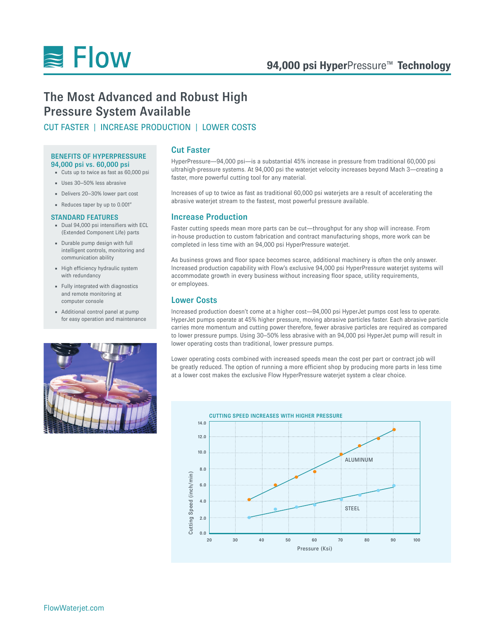

# The Most Advanced and Robust High Pressure System Available

# CUT FASTER | INCREASE PRODUCTION | LOWER COSTS

# BENEFITS OF HYPERPRESSURE 94,000 psi vs. 60,000 psi

- Cuts up to twice as fast as 60,000 psi
- Uses 30–50% less abrasive
- Delivers 20–30% lower part cost
- Reduces taper by up to 0.001"

### STANDARD FEATURES

- Dual 94,000 psi intensifiers with ECL (Extended Component Life) parts
- Durable pump design with full intelligent controls, monitoring and communication ability
- High efficiency hydraulic system with redundancy
- Fully integrated with diagnostics and remote monitoring at computer console
- Additional control panel at pump for easy operation and maintenance



# Cut Faster

HyperPressure—94,000 psi—is a substantial 45% increase in pressure from traditional 60,000 psi ultrahigh-pressure systems. At 94,000 psi the waterjet velocity increases beyond Mach 3—creating a faster, more powerful cutting tool for any material.

Increases of up to twice as fast as traditional 60,000 psi waterjets are a result of accelerating the abrasive waterjet stream to the fastest, most powerful pressure available.

# Increase Production

Faster cutting speeds mean more parts can be cut—throughput for any shop will increase. From in-house production to custom fabrication and contract manufacturing shops, more work can be completed in less time with an 94,000 psi HyperPressure waterjet.

As business grows and floor space becomes scarce, additional machinery is often the only answer. Increased production capability with Flow's exclusive 94,000 psi HyperPressure waterjet systems will accommodate growth in every business without increasing floor space, utility requirements, or employees.

# Lower Costs

Increased production doesn't come at a higher cost—94,000 psi HyperJet pumps cost less to operate. HyperJet pumps operate at 45% higher pressure, moving abrasive particles faster. Each abrasive particle carries more momentum and cutting power therefore, fewer abrasive particles are required as compared to lower pressure pumps. Using 30–50% less abrasive with an 94,000 psi HyperJet pump will result in lower operating costs than traditional, lower pressure pumps.

Lower operating costs combined with increased speeds mean the cost per part or contract job will be greatly reduced. The option of running a more efficient shop by producing more parts in less time at a lower cost makes the exclusive Flow HyperPressure waterjet system a clear choice.



FlowWaterjet.com